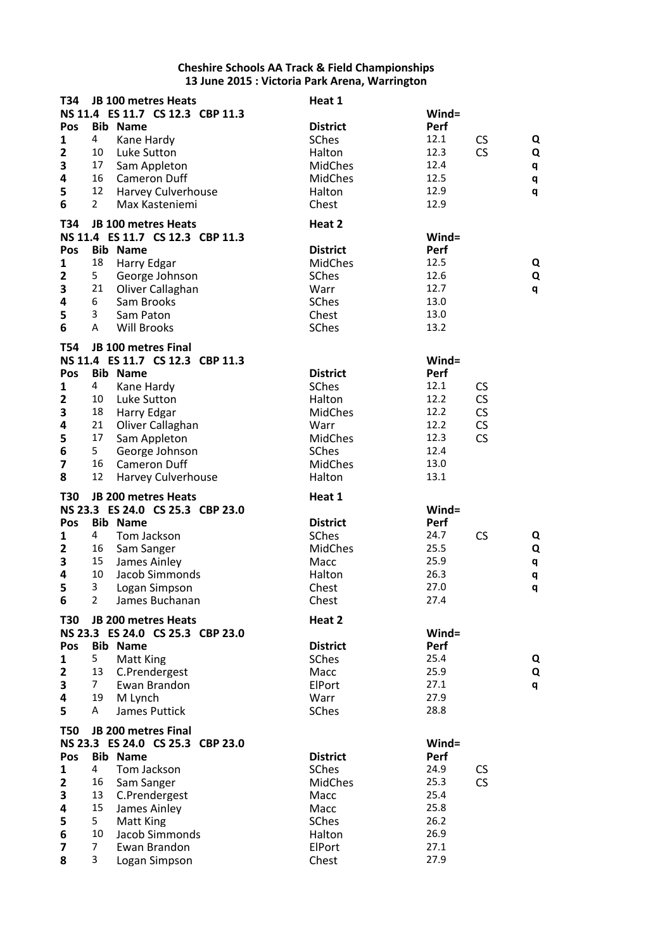| T34                          |                | JB 100 metres Heats              | Heat 1          |              |           |   |
|------------------------------|----------------|----------------------------------|-----------------|--------------|-----------|---|
|                              |                | NS 11.4 ES 11.7 CS 12.3 CBP 11.3 |                 | $Wind =$     |           |   |
| Pos                          |                | <b>Bib Name</b>                  | <b>District</b> | Perf         |           |   |
| 1                            | 4              | Kane Hardy                       | SChes           | 12.1         | <b>CS</b> | Q |
| $\mathbf{2}$                 | 10             | Luke Sutton                      | Halton          | 12.3         | <b>CS</b> | Q |
| 3                            | 17             | Sam Appleton                     | <b>MidChes</b>  | 12.4         |           | q |
| 4                            | 16             | <b>Cameron Duff</b>              | <b>MidChes</b>  | 12.5         |           | q |
| 5                            | 12             | <b>Harvey Culverhouse</b>        | Halton          | 12.9         |           | q |
| 6                            | $\overline{2}$ | Max Kasteniemi                   | Chest           | 12.9         |           |   |
| T34                          |                | JB 100 metres Heats              | Heat 2          |              |           |   |
|                              |                | NS 11.4 ES 11.7 CS 12.3 CBP 11.3 |                 | Wind=        |           |   |
| Pos                          |                | <b>Bib Name</b>                  | <b>District</b> | Perf         |           |   |
| 1                            | 18             | Harry Edgar                      | <b>MidChes</b>  | 12.5         |           | Q |
| $\overline{\mathbf{2}}$      | 5              | George Johnson                   | SChes           | 12.6         |           | Q |
| 3                            | 21             | Oliver Callaghan                 | Warr            | 12.7         |           |   |
| 4                            | 6              | Sam Brooks                       | SChes           | 13.0         |           | q |
|                              | 3              |                                  |                 | 13.0         |           |   |
| 5<br>6                       | A              | Sam Paton<br><b>Will Brooks</b>  | Chest           | 13.2         |           |   |
|                              |                |                                  | SChes           |              |           |   |
| <b>T54</b>                   |                | JB 100 metres Final              |                 |              |           |   |
|                              |                | NS 11.4 ES 11.7 CS 12.3 CBP 11.3 |                 | Wind=        |           |   |
| Pos                          |                | <b>Bib Name</b>                  | <b>District</b> | Perf         |           |   |
| 1                            | 4              | Kane Hardy                       | SChes           | 12.1         | <b>CS</b> |   |
| $\mathbf{2}$                 | 10             | Luke Sutton                      | Halton          | 12.2         | CS        |   |
| 3                            | 18             | Harry Edgar                      | <b>MidChes</b>  | 12.2         | CS        |   |
| 4                            | 21             | Oliver Callaghan                 | Warr            | 12.2         | CS        |   |
| 5                            | 17             | Sam Appleton                     | <b>MidChes</b>  | 12.3         | <b>CS</b> |   |
| 6                            | 5              | George Johnson                   | SChes           | 12.4         |           |   |
| 7                            | 16             | <b>Cameron Duff</b>              | <b>MidChes</b>  | 13.0         |           |   |
| 8                            | 12             | Harvey Culverhouse               | Halton          | 13.1         |           |   |
|                              |                |                                  |                 |              |           |   |
| <b>T30</b>                   |                | <b>JB 200 metres Heats</b>       | Heat 1          |              |           |   |
|                              |                | NS 23.3 ES 24.0 CS 25.3 CBP 23.0 |                 | Wind=        |           |   |
| Pos                          |                | <b>Bib Name</b>                  | <b>District</b> | Perf         |           |   |
| 1                            | 4              | Tom Jackson                      | SChes           | 24.7         | <b>CS</b> | Q |
| $\overline{2}$               | 16             | Sam Sanger                       | <b>MidChes</b>  | 25.5         |           | Q |
| 3                            | 15             | James Ainley                     | Macc            | 25.9         |           | q |
| 4                            | 10             | Jacob Simmonds                   | Halton          | 26.3         |           | q |
| 5                            | 3              | Logan Simpson                    | Chest           | 27.0         |           | q |
| 6                            | $\overline{2}$ | James Buchanan                   | Chest           | 27.4         |           |   |
| T30                          |                | <b>JB 200 metres Heats</b>       | Heat 2          |              |           |   |
|                              |                | NS 23.3 ES 24.0 CS 25.3 CBP 23.0 |                 | Wind=        |           |   |
| Pos                          |                | <b>Bib Name</b>                  | <b>District</b> | Perf         |           |   |
| 1                            | 5.             | <b>Matt King</b>                 | SChes           | 25.4         |           | Q |
| $\mathbf{2}$                 | 13             | C.Prendergest                    | Macc            | 25.9         |           | Q |
| 3                            | 7              | Ewan Brandon                     | ElPort          | 27.1         |           | q |
| 4                            | 19             | M Lynch                          | Warr            | 27.9         |           |   |
| 5                            | A              | James Puttick                    | SChes           | 28.8         |           |   |
|                              |                |                                  |                 |              |           |   |
| <b>T50</b>                   |                | JB 200 metres Final              |                 |              |           |   |
|                              |                | NS 23.3 ES 24.0 CS 25.3 CBP 23.0 |                 | Wind=        |           |   |
| Pos                          |                | <b>Bib Name</b>                  | <b>District</b> | Perf         |           |   |
| 1                            | $\overline{4}$ | Tom Jackson                      | SChes           | 24.9         | CS        |   |
| $\overline{\mathbf{2}}$      | 16             | Sam Sanger                       | <b>MidChes</b>  | 25.3         | <b>CS</b> |   |
|                              |                |                                  |                 |              |           |   |
| 3                            | 13             | C.Prendergest                    | Macc            | 25.4         |           |   |
| 4                            | 15             | James Ainley                     | Macc            | 25.8         |           |   |
| 5                            | 5              | Matt King                        | SChes           | 26.2         |           |   |
| 6                            | 10             | Jacob Simmonds                   | Halton          | 26.9         |           |   |
| $\overline{\mathbf{z}}$<br>8 | 7<br>3         | Ewan Brandon<br>Logan Simpson    | ElPort<br>Chest | 27.1<br>27.9 |           |   |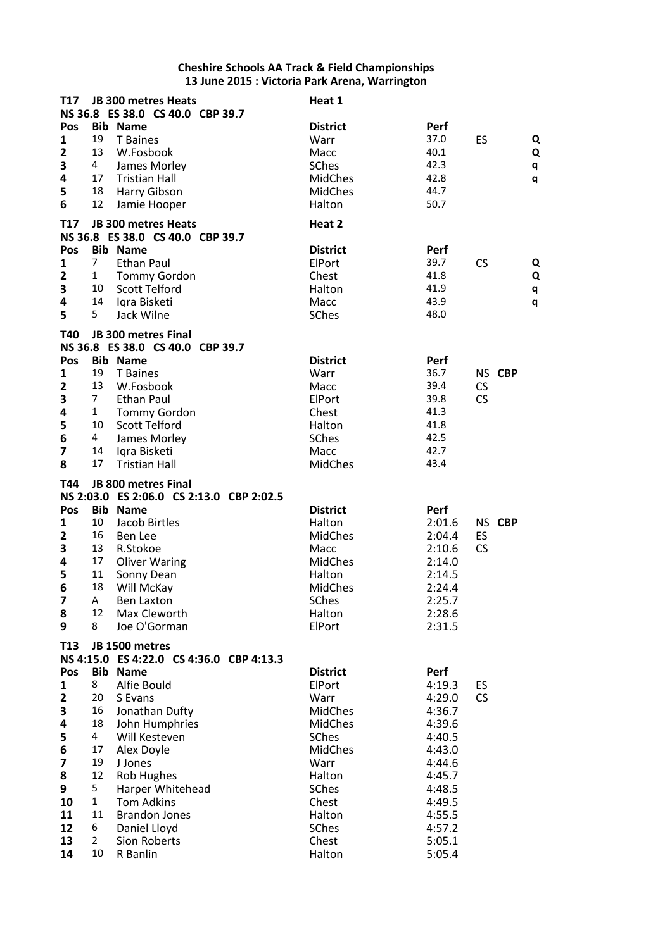| <b>T17</b>              |                     | JB 300 metres Heats                                 | Heat 1                   |                  |           |        |
|-------------------------|---------------------|-----------------------------------------------------|--------------------------|------------------|-----------|--------|
|                         |                     | NS 36.8 ES 38.0 CS 40.0 CBP 39.7                    |                          |                  |           |        |
| Pos<br>1                | 19                  | <b>Bib Name</b><br>T Baines                         | <b>District</b><br>Warr  | Perf<br>37.0     | ES        |        |
| $\mathbf{2}$            | 13                  | W.Fosbook                                           | Macc                     | 40.1             |           | Q<br>Q |
| 3                       | 4                   | James Morley                                        | <b>SChes</b>             | 42.3             |           | q      |
| $\overline{\mathbf{4}}$ | 17                  | <b>Tristian Hall</b>                                | <b>MidChes</b>           | 42.8             |           | q      |
| 5                       | 18                  | Harry Gibson                                        | <b>MidChes</b>           | 44.7             |           |        |
| 6                       | 12                  | Jamie Hooper                                        | Halton                   | 50.7             |           |        |
|                         |                     |                                                     |                          |                  |           |        |
| <b>T17</b>              |                     | JB 300 metres Heats                                 | Heat 2                   |                  |           |        |
| Pos                     |                     | NS 36.8 ES 38.0 CS 40.0 CBP 39.7<br><b>Bib Name</b> | <b>District</b>          | Perf             |           |        |
| 1                       | 7                   | <b>Ethan Paul</b>                                   | ElPort                   | 39.7             | CS        | Q      |
| $\overline{2}$          | $\mathbf{1}$        | <b>Tommy Gordon</b>                                 | Chest                    | 41.8             |           | Q      |
| 3                       | 10                  | <b>Scott Telford</b>                                | Halton                   | 41.9             |           | q      |
| 4                       | 14                  | Igra Bisketi                                        | Macc                     | 43.9             |           | q      |
| 5                       | 5                   | Jack Wilne                                          | SChes                    | 48.0             |           |        |
| T40                     |                     | <b>JB 300 metres Final</b>                          |                          |                  |           |        |
|                         |                     | NS 36.8 ES 38.0 CS 40.0 CBP 39.7                    |                          |                  |           |        |
| Pos                     |                     | <b>Bib Name</b>                                     | <b>District</b>          | Perf             |           |        |
| 1                       | 19                  | T Baines                                            | Warr                     | 36.7             | NS CBP    |        |
| $\overline{2}$          | 13                  | W.Fosbook                                           | Macc                     | 39.4             | <b>CS</b> |        |
| 3                       | $\overline{7}$      | Ethan Paul                                          | ElPort                   | 39.8             | <b>CS</b> |        |
| 4                       | $\mathbf{1}$        | <b>Tommy Gordon</b>                                 | Chest                    | 41.3             |           |        |
| 5                       | 10                  | <b>Scott Telford</b>                                | Halton                   | 41.8             |           |        |
| 6                       | 4                   | James Morley                                        | SChes                    | 42.5             |           |        |
| $\overline{\mathbf{z}}$ | 14                  | Iqra Bisketi                                        | Macc                     | 42.7             |           |        |
| 8                       | 17                  | <b>Tristian Hall</b>                                | MidChes                  | 43.4             |           |        |
| T44                     |                     | JB 800 metres Final                                 |                          |                  |           |        |
|                         |                     | NS 2:03.0 ES 2:06.0 CS 2:13.0 CBP 2:02.5            |                          |                  |           |        |
| Pos                     |                     | <b>Bib Name</b>                                     | <b>District</b>          | Perf             |           |        |
| 1                       | 10                  | Jacob Birtles                                       | Halton                   | 2:01.6           | NS CBP    |        |
| $\overline{2}$          | 16                  | Ben Lee                                             | <b>MidChes</b>           | 2:04.4           | ES        |        |
| 3                       | 13<br>17            | R.Stokoe                                            | Macc                     | 2:10.6           | <b>CS</b> |        |
| 4<br>5                  | 11                  | <b>Oliver Waring</b>                                | <b>MidChes</b><br>Halton | 2:14.0<br>2:14.5 |           |        |
| 6                       | 18                  | Sonny Dean<br>Will McKay                            | <b>MidChes</b>           | 2:24.4           |           |        |
| $\overline{\mathbf{z}}$ | A                   | Ben Laxton                                          | <b>SChes</b>             | 2:25.7           |           |        |
| 8                       | 12                  | Max Cleworth                                        | Halton                   | 2:28.6           |           |        |
| 9                       | 8                   | Joe O'Gorman                                        | ElPort                   | 2:31.5           |           |        |
| T <sub>13</sub>         |                     | JB 1500 metres                                      |                          |                  |           |        |
|                         |                     | NS 4:15.0 ES 4:22.0 CS 4:36.0 CBP 4:13.3            |                          |                  |           |        |
| Pos                     |                     | <b>Bib Name</b>                                     | <b>District</b>          | Perf             |           |        |
| 1                       | 8                   | Alfie Bould                                         | ElPort                   | 4:19.3           | ES        |        |
| $\mathbf{2}$            | 20                  | S Evans                                             | Warr                     | 4:29.0           | <b>CS</b> |        |
| 3                       | 16                  | Jonathan Dufty                                      | <b>MidChes</b>           | 4:36.7           |           |        |
| 4                       | 18                  | John Humphries                                      | <b>MidChes</b>           | 4:39.6           |           |        |
| 5                       | 4                   | Will Kesteven                                       | <b>SChes</b>             | 4:40.5           |           |        |
| 6                       | 17                  | Alex Doyle                                          | <b>MidChes</b>           | 4:43.0           |           |        |
| $\overline{\mathbf{z}}$ | 19                  | J Jones                                             | Warr                     | 4:44.6           |           |        |
| 8                       | 12                  | <b>Rob Hughes</b>                                   | Halton                   | 4:45.7           |           |        |
| 9                       | 5                   | Harper Whitehead                                    | SChes                    | 4:48.5           |           |        |
| 10                      | $\mathbf{1}$        | <b>Tom Adkins</b>                                   | Chest                    | 4:49.5           |           |        |
| 11                      | 11                  | <b>Brandon Jones</b>                                | Halton                   | 4:55.5           |           |        |
| 12<br>13                | 6<br>$\overline{2}$ | Daniel Lloyd<br>Sion Roberts                        | SChes<br>Chest           | 4:57.2<br>5:05.1 |           |        |
| 14                      | 10                  | R Banlin                                            | Halton                   | 5:05.4           |           |        |
|                         |                     |                                                     |                          |                  |           |        |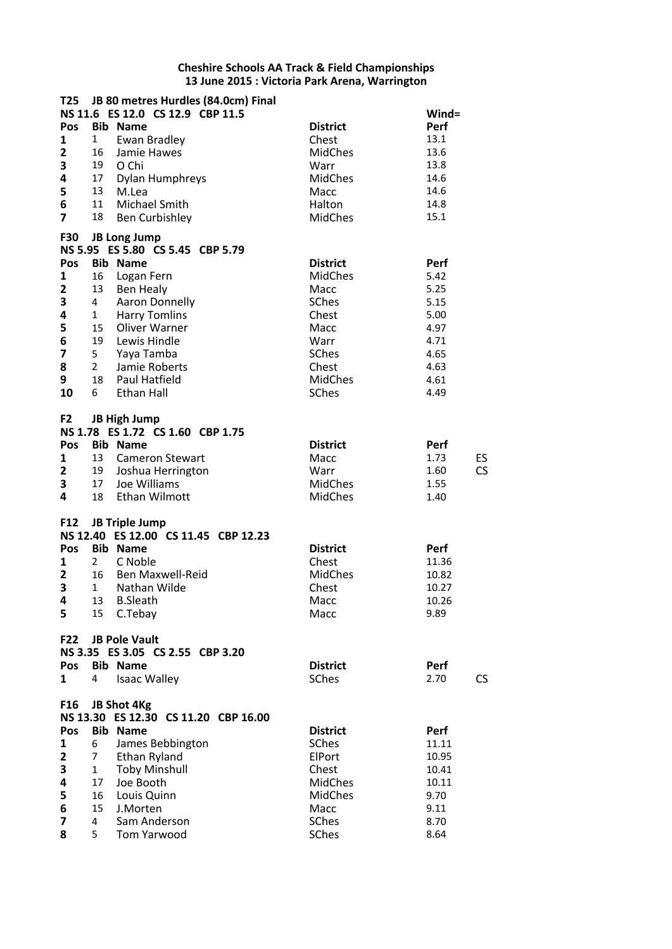| T25                     |                | JB 80 metres Hurdles (84.0cm) Final  |                 |                   |
|-------------------------|----------------|--------------------------------------|-----------------|-------------------|
|                         |                | NS 11.6 ES 12.0 CS 12.9 CBP 11.5     |                 | Wind=             |
| Pos                     |                | <b>Bib Name</b>                      | <b>District</b> | Perf              |
| 1                       | $\mathbf{1}$   | <b>Ewan Bradley</b>                  | Chest           | 13.1              |
| $\mathbf{2}$            | 16             | Jamie Hawes                          | <b>MidChes</b>  | 13.6              |
| 3                       | 19             | O Chi                                | Warr            | 13.8              |
| $\overline{\mathbf{4}}$ | 17             | Dylan Humphreys                      | <b>MidChes</b>  | 14.6              |
| 5                       | 13             | M.Lea                                | Macc            | 14.6              |
| 6                       | 11             |                                      |                 | 14.8              |
|                         |                | Michael Smith                        | Halton          |                   |
| $\overline{7}$          | 18             | <b>Ben Curbishley</b>                | <b>MidChes</b>  | 15.1              |
| <b>F30</b>              |                | <b>JB Long Jump</b>                  |                 |                   |
|                         |                | NS 5.95 ES 5.80 CS 5.45 CBP 5.79     |                 |                   |
| Pos                     |                | <b>Bib Name</b>                      | <b>District</b> | Perf              |
| 1                       | 16             | Logan Fern                           | <b>MidChes</b>  | 5.42              |
| $\mathbf{2}$            | 13             | Ben Healy                            | Macc            | 5.25              |
| 3                       | 4              | Aaron Donnelly                       | <b>SChes</b>    | 5.15              |
| 4                       |                |                                      | Chest           | 5.00              |
|                         | $1 \quad$      | <b>Harry Tomlins</b>                 |                 |                   |
| 5                       | 15             | Oliver Warner                        | Macc            | 4.97              |
| 6                       | 19             | Lewis Hindle                         | Warr            | 4.71              |
| 7                       | 5 <sub>1</sub> | Yaya Tamba                           | SChes           | 4.65              |
| 8                       | $2^{\circ}$    | Jamie Roberts                        | Chest           | 4.63              |
| 9                       | 18             | <b>Paul Hatfield</b>                 | <b>MidChes</b>  | 4.61              |
| 10                      | 6              | Ethan Hall                           | <b>SChes</b>    | 4.49              |
|                         |                |                                      |                 |                   |
| F <sub>2</sub>          |                | <b>JB High Jump</b>                  |                 |                   |
|                         |                | NS 1.78 ES 1.72 CS 1.60 CBP 1.75     |                 |                   |
| Pos                     |                | <b>Bib Name</b>                      | <b>District</b> | Perf              |
| 1                       | 13             | <b>Cameron Stewart</b>               | Macc            | 1.73<br>ES        |
| $\mathbf{2}$            | 19             | Joshua Herrington                    | Warr            | <b>CS</b><br>1.60 |
| 3                       | 17             | Joe Williams                         | <b>MidChes</b>  | 1.55              |
| 4                       | 18             | <b>Ethan Wilmott</b>                 | <b>MidChes</b>  | 1.40              |
|                         |                |                                      |                 |                   |
| F <sub>12</sub>         |                | <b>JB Triple Jump</b>                |                 |                   |
|                         |                | NS 12.40 ES 12.00 CS 11.45 CBP 12.23 |                 |                   |
| Pos                     |                | <b>Bib Name</b>                      | <b>District</b> | Perf              |
| 1                       | $2^{\circ}$    | C Noble                              | Chest           | 11.36             |
| $\mathbf{2}$            | 16             | <b>Ben Maxwell-Reid</b>              | <b>MidChes</b>  | 10.82             |
| 3                       | $1 \quad$      | Nathan Wilde                         | Chest           | 10.27             |
| $\overline{\mathbf{4}}$ |                | 13 B.Sleath                          | Macc            | 10.26             |
| 5                       |                | 15 C.Tebay                           | Macc            | 9.89              |
|                         |                |                                      |                 |                   |
| <b>F22</b>              |                | <b>JB Pole Vault</b>                 |                 |                   |
|                         |                | NS 3.35 ES 3.05 CS 2.55 CBP 3.20     |                 |                   |
| Pos                     |                | <b>Bib Name</b>                      | <b>District</b> | Perf              |
|                         | 4              | <b>Isaac Walley</b>                  | SChes           |                   |
| 1                       |                |                                      |                 | 2.70<br>CS        |
| F16                     |                | JB Shot 4Kg                          |                 |                   |
|                         |                | NS 13.30 ES 12.30 CS 11.20 CBP 16.00 |                 |                   |
|                         |                |                                      |                 |                   |
| Pos                     |                | <b>Bib Name</b>                      | <b>District</b> | Perf              |
| 1                       | 6              | James Bebbington                     | <b>SChes</b>    | 11.11             |
| 2                       | 7 <sup>7</sup> | Ethan Ryland                         | ElPort          | 10.95             |
| 3                       | $\mathbf{1}$   | <b>Toby Minshull</b>                 | Chest           | 10.41             |
| 4                       | 17             | Joe Booth                            | <b>MidChes</b>  | 10.11             |
| 5                       | 16             | Louis Quinn                          | MidChes         | 9.70              |
| 6                       | 15             | J.Morten                             | Macc            | 9.11              |
| 7                       | 4              | Sam Anderson                         | SChes           | 8.70              |
| 8                       | 5              | Tom Yarwood                          | SChes           | 8.64              |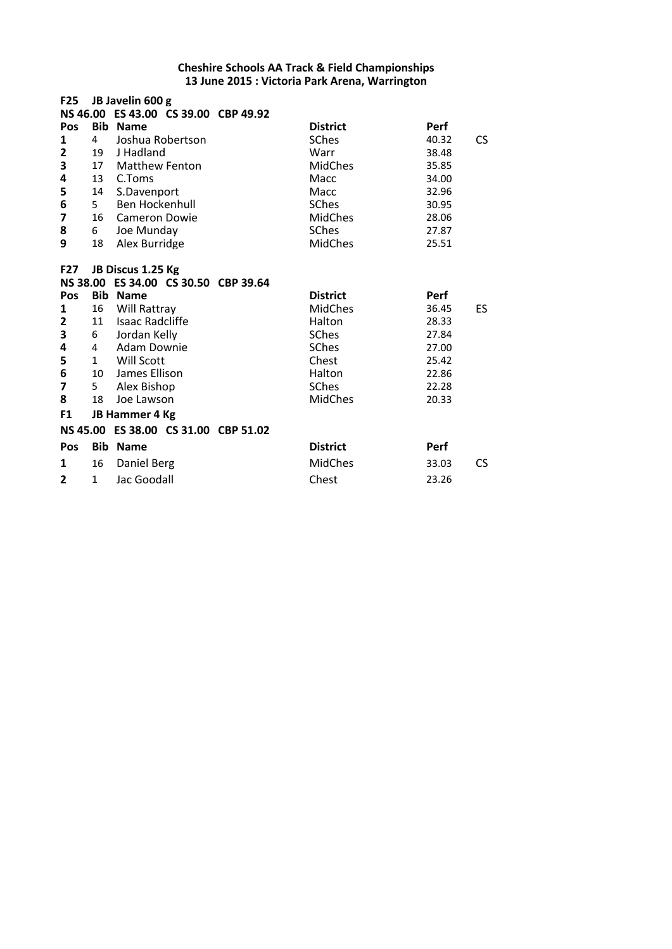| <b>F25</b>        |                              | JB Javelin 600 g                                          |                                 |                      |           |
|-------------------|------------------------------|-----------------------------------------------------------|---------------------------------|----------------------|-----------|
|                   |                              | NS 46.00 ES 43.00 CS 39.00 CBP 49.92                      |                                 |                      |           |
| Pos<br>1          | <b>Bib</b><br>$\overline{4}$ | <b>Name</b><br>Joshua Robertson                           | <b>District</b><br><b>SChes</b> | <b>Perf</b><br>40.32 | CS.       |
| $\overline{2}$    | 19                           | J Hadland                                                 |                                 | 38.48                |           |
|                   | 17                           | <b>Matthew Fenton</b>                                     | Warr<br><b>MidChes</b>          | 35.85                |           |
| 3<br>4            |                              |                                                           |                                 |                      |           |
|                   | 13                           | C.Toms                                                    | Macc<br>Macc                    | 34.00<br>32.96       |           |
| 5                 | 14<br>5                      | S.Davenport<br>Ben Hockenhull                             | <b>SChes</b>                    |                      |           |
| 6                 |                              |                                                           |                                 | 30.95                |           |
| 7                 | 16                           | Cameron Dowie                                             | <b>MidChes</b><br>SChes         | 28.06                |           |
| 8                 | 6                            | Joe Munday                                                |                                 | 27.87                |           |
| 9                 | 18                           | Alex Burridge                                             | <b>MidChes</b>                  | 25.51                |           |
|                   |                              |                                                           |                                 |                      |           |
| F27               |                              | JB Discus 1.25 Kg<br>NS 38.00 ES 34.00 CS 30.50 CBP 39.64 |                                 |                      |           |
| Pos               | <b>Bib</b>                   | <b>Name</b>                                               | <b>District</b>                 | <b>Perf</b>          |           |
| 1                 | 16                           | Will Rattray                                              | <b>MidChes</b>                  | 36.45                | <b>ES</b> |
|                   | 11                           | <b>Isaac Radcliffe</b>                                    | Halton                          | 28.33                |           |
| $\mathbf{2}$<br>3 |                              |                                                           |                                 | 27.84                |           |
| 4                 | 6<br>4                       | Jordan Kelly<br>Adam Downie                               | <b>SChes</b>                    | 27.00                |           |
|                   |                              |                                                           | <b>SChes</b>                    |                      |           |
| 5                 | $\mathbf{1}$                 | Will Scott                                                | Chest                           | 25.42                |           |
| 6                 | 10                           | James Ellison                                             | Halton                          | 22.86                |           |
| 7                 | 5 <sub>1</sub>               | Alex Bishop                                               | <b>SChes</b>                    | 22.28                |           |
| 8                 | 18                           | Joe Lawson                                                | <b>MidChes</b>                  | 20.33                |           |
| F1                |                              | JB Hammer 4 Kg                                            |                                 |                      |           |
|                   |                              | NS 45.00 ES 38.00 CS 31.00 CBP 51.02                      |                                 |                      |           |
| Pos               | <b>Bib</b>                   | <b>Name</b>                                               | <b>District</b>                 | Perf                 |           |
| 1                 | 16                           | Daniel Berg                                               | <b>MidChes</b>                  | 33.03                | CS.       |
|                   |                              |                                                           |                                 |                      |           |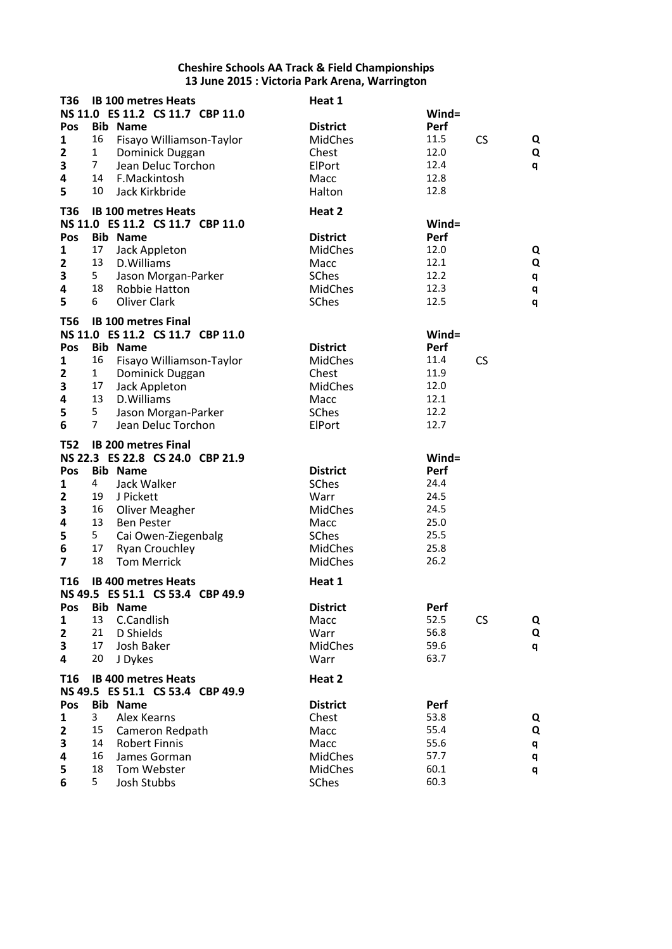| T36<br>Pos<br>$\mathbf{1}$<br>$\overline{\mathbf{2}}$<br>3<br>4<br>5                        | 16<br>$\mathbf{1}$<br>$\overline{7}$<br>14<br>10                   | <b>IB 100 metres Heats</b><br>NS 11.0 ES 11.2 CS 11.7 CBP 11.0<br><b>Bib Name</b><br>Fisayo Williamson-Taylor<br>Dominick Duggan<br>Jean Deluc Torchon<br>F.Mackintosh<br>Jack Kirkbride                                   | Heat 1<br><b>District</b><br><b>MidChes</b><br>Chest<br>ElPort<br>Macc<br>Halton                               | Wind=<br>Perf<br>11.5<br>12.0<br>12.4<br>12.8<br>12.8                 | <b>CS</b> | Q<br>Q<br>q           |
|---------------------------------------------------------------------------------------------|--------------------------------------------------------------------|----------------------------------------------------------------------------------------------------------------------------------------------------------------------------------------------------------------------------|----------------------------------------------------------------------------------------------------------------|-----------------------------------------------------------------------|-----------|-----------------------|
| <b>T36</b><br>Pos<br>1<br>$\mathbf{2}$<br>3<br>4<br>5                                       | 17<br>13<br>5 <sub>1</sub><br>18<br>6                              | <b>IB 100 metres Heats</b><br>NS 11.0 ES 11.2 CS 11.7 CBP 11.0<br><b>Bib Name</b><br>Jack Appleton<br>D.Williams<br>Jason Morgan-Parker<br>Robbie Hatton<br>Oliver Clark                                                   | Heat 2<br><b>District</b><br><b>MidChes</b><br>Macc<br>SChes<br><b>MidChes</b><br>SChes                        | Wind=<br><b>Perf</b><br>12.0<br>12.1<br>12.2<br>12.3<br>12.5          |           | Q<br>Q<br>q<br>q<br>q |
| <b>T56</b><br>Pos<br>1<br>$\overline{\mathbf{2}}$<br>3<br>4<br>5<br>6                       | 16<br>$\mathbf{1}$<br>17<br>13<br>5 <sub>1</sub><br>$\overline{7}$ | <b>IB 100 metres Final</b><br>NS 11.0 ES 11.2 CS 11.7 CBP 11.0<br><b>Bib Name</b><br>Fisayo Williamson-Taylor<br>Dominick Duggan<br>Jack Appleton<br>D.Williams<br>Jason Morgan-Parker<br>Jean Deluc Torchon               | <b>District</b><br><b>MidChes</b><br>Chest<br><b>MidChes</b><br>Macc<br><b>SChes</b><br>ElPort                 | Wind=<br>Perf<br>11.4<br>11.9<br>12.0<br>12.1<br>12.2<br>12.7         | <b>CS</b> |                       |
| <b>T52</b><br>Pos<br>1<br>$\mathbf{2}$<br>3<br>4<br>5<br>$\bf 6$<br>$\overline{\mathbf{z}}$ | 4<br>19<br>16<br>13<br>5<br>17<br>18                               | <b>IB 200 metres Final</b><br>NS 22.3 ES 22.8 CS 24.0 CBP 21.9<br><b>Bib Name</b><br>Jack Walker<br>J Pickett<br>Oliver Meagher<br><b>Ben Pester</b><br>Cai Owen-Ziegenbalg<br><b>Ryan Crouchley</b><br><b>Tom Merrick</b> | <b>District</b><br><b>SChes</b><br>Warr<br><b>MidChes</b><br>Macc<br>SChes<br><b>MidChes</b><br><b>MidChes</b> | Wind=<br>Perf<br>24.4<br>24.5<br>24.5<br>25.0<br>25.5<br>25.8<br>26.2 |           |                       |
| T <sub>16</sub><br>Pos<br>$\mathbf{1}$<br>$\mathbf{2}$<br>3<br>4                            | 13<br>21<br>17<br>20                                               | <b>IB 400 metres Heats</b><br>NS 49.5 ES 51.1 CS 53.4 CBP 49.9<br><b>Bib Name</b><br>C.Candlish<br>D Shields<br>Josh Baker<br>J Dykes                                                                                      | Heat 1<br><b>District</b><br>Macc<br>Warr<br><b>MidChes</b><br>Warr                                            | Perf<br>52.5<br>56.8<br>59.6<br>63.7                                  | CS        | Q<br>Q<br>q           |
| T <sub>16</sub><br>Pos<br>1<br>$\mathbf{2}$<br>3<br>4<br>5<br>6                             | 3<br>15<br>14<br>16<br>18<br>5                                     | <b>IB 400 metres Heats</b><br>NS 49.5 ES 51.1 CS 53.4 CBP 49.9<br><b>Bib Name</b><br>Alex Kearns<br>Cameron Redpath<br><b>Robert Finnis</b><br>James Gorman<br>Tom Webster<br><b>Josh Stubbs</b>                           | Heat 2<br><b>District</b><br>Chest<br>Macc<br>Macc<br><b>MidChes</b><br><b>MidChes</b><br>SChes                | Perf<br>53.8<br>55.4<br>55.6<br>57.7<br>60.1<br>60.3                  |           | Q<br>Q<br>q<br>q<br>q |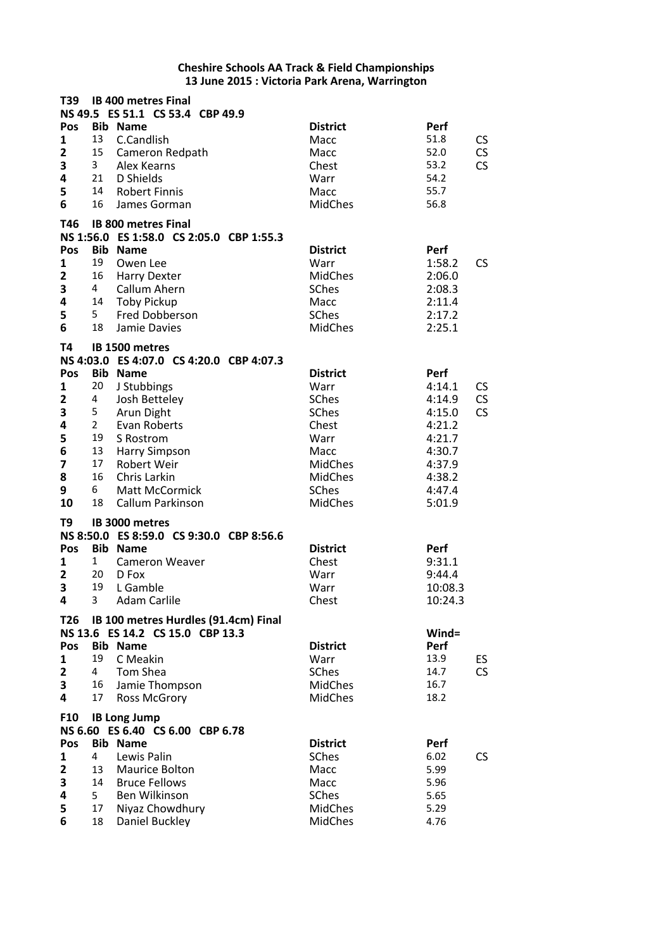| T39             |                | <b>IB 400 metres Final</b>                                               |                                |                |     |
|-----------------|----------------|--------------------------------------------------------------------------|--------------------------------|----------------|-----|
| Pos             |                | NS 49.5 ES 51.1 CS 53.4 CBP 49.9<br><b>Bib Name</b>                      | <b>District</b>                | Perf           |     |
| $\mathbf{1}$    | 13             | C.Candlish                                                               | Macc                           | 51.8           | CS  |
| 2               | 15             | Cameron Redpath                                                          | Macc                           | 52.0           | CS  |
| 3               | 3 <sup>7</sup> | Alex Kearns                                                              | Chest                          | 53.2           | CS  |
| 4               | 21             | D Shields                                                                | Warr                           | 54.2           |     |
| 5               | 14             | <b>Robert Finnis</b>                                                     | Macc                           | 55.7           |     |
| 6               | 16             | James Gorman                                                             | <b>MidChes</b>                 | 56.8           |     |
| T46             |                | <b>IB 800 metres Final</b>                                               |                                |                |     |
|                 |                | NS 1:56.0 ES 1:58.0 CS 2:05.0 CBP 1:55.3                                 |                                |                |     |
| Pos             |                | <b>Bib Name</b>                                                          | <b>District</b>                | Perf           |     |
| $\mathbf{1}$    | 19             | Owen Lee                                                                 | Warr                           | 1:58.2         | CS  |
| $\mathbf{2}$    | 16             | <b>Harry Dexter</b>                                                      | MidChes                        | 2:06.0         |     |
| 3               | 4              | Callum Ahern                                                             | <b>SChes</b>                   | 2:08.3         |     |
| 4               | 14             | <b>Toby Pickup</b>                                                       | Macc                           | 2:11.4         |     |
| 5               | 5              | <b>Fred Dobberson</b>                                                    | <b>SChes</b>                   | 2:17.2         |     |
| 6               | 18             | Jamie Davies                                                             | <b>MidChes</b>                 | 2:25.1         |     |
| <b>T4</b>       |                | IB 1500 metres                                                           |                                |                |     |
|                 |                | NS 4:03.0 ES 4:07.0 CS 4:20.0 CBP 4:07.3                                 |                                |                |     |
| Pos             |                | <b>Bib Name</b>                                                          | <b>District</b>                | Perf           |     |
| 1               | 20             | J Stubbings                                                              | Warr                           | 4:14.1         | CS  |
| 2               | 4              | Josh Betteley                                                            | <b>SChes</b>                   | 4:14.9         | CS  |
| 3               | 5              | Arun Dight                                                               | <b>SChes</b>                   | 4:15.0         | CS  |
| 4               | $2^{\circ}$    | Evan Roberts                                                             | Chest                          | 4:21.2         |     |
| 5               | 19             | S Rostrom                                                                | Warr                           | 4:21.7         |     |
| 6               | 13             | <b>Harry Simpson</b>                                                     | Macc                           | 4:30.7         |     |
| 7               | 17             | <b>Robert Weir</b>                                                       | <b>MidChes</b>                 | 4:37.9         |     |
| 8               | 16             | Chris Larkin                                                             | <b>MidChes</b>                 | 4:38.2         |     |
| 9<br>10         | 6<br>18        | <b>Matt McCormick</b><br>Callum Parkinson                                | <b>SChes</b><br><b>MidChes</b> | 4:47.4         |     |
|                 |                |                                                                          |                                | 5:01.9         |     |
| T9              |                | <b>IB 3000 metres</b>                                                    |                                |                |     |
|                 |                | NS 8:50.0 ES 8:59.0 CS 9:30.0 CBP 8:56.6                                 |                                |                |     |
| <b>Pos</b><br>1 | $\mathbf{1}$   | <b>Bib Name</b><br><b>Cameron Weaver</b>                                 | <b>District</b><br>Chest       | Perf<br>9:31.1 |     |
| $\overline{2}$  | 20             | D Fox                                                                    | Warr                           | 9:44.4         |     |
| 3               | 19             | L Gamble                                                                 | Warr                           | 10:08.3        |     |
| 4               | 3              | <b>Adam Carlile</b>                                                      | Chest                          | 10:24.3        |     |
|                 |                |                                                                          |                                |                |     |
| T <sub>26</sub> |                | IB 100 metres Hurdles (91.4cm) Final<br>NS 13.6 ES 14.2 CS 15.0 CBP 13.3 |                                | $Wind =$       |     |
| Pos             |                | <b>Bib Name</b>                                                          | <b>District</b>                | Perf           |     |
| 1               | 19             | C Meakin                                                                 | Warr                           | 13.9           | ES. |
| $\mathbf{2}$    | 4              | Tom Shea                                                                 | SChes                          | 14.7           | CS  |
| 3               | 16             | Jamie Thompson                                                           | <b>MidChes</b>                 | 16.7           |     |
| 4               | 17             | <b>Ross McGrory</b>                                                      | <b>MidChes</b>                 | 18.2           |     |
| <b>F10</b>      |                | <b>IB Long Jump</b>                                                      |                                |                |     |
|                 |                | NS 6.60 ES 6.40 CS 6.00 CBP 6.78                                         |                                |                |     |
| Pos             |                | <b>Bib Name</b>                                                          | <b>District</b>                | Perf           |     |
| 1               | 4              | Lewis Palin                                                              | SChes                          | 6.02           | CS  |
| 2               | 13             | Maurice Bolton                                                           | Macc                           | 5.99           |     |
| 3               | 14             | <b>Bruce Fellows</b>                                                     | Macc                           | 5.96           |     |
| 4               | 5              | Ben Wilkinson                                                            | SChes                          | 5.65           |     |
| 5               | 17             | Niyaz Chowdhury                                                          | <b>MidChes</b>                 | 5.29           |     |
| 6               | 18             | Daniel Buckley                                                           | MidChes                        | 4.76           |     |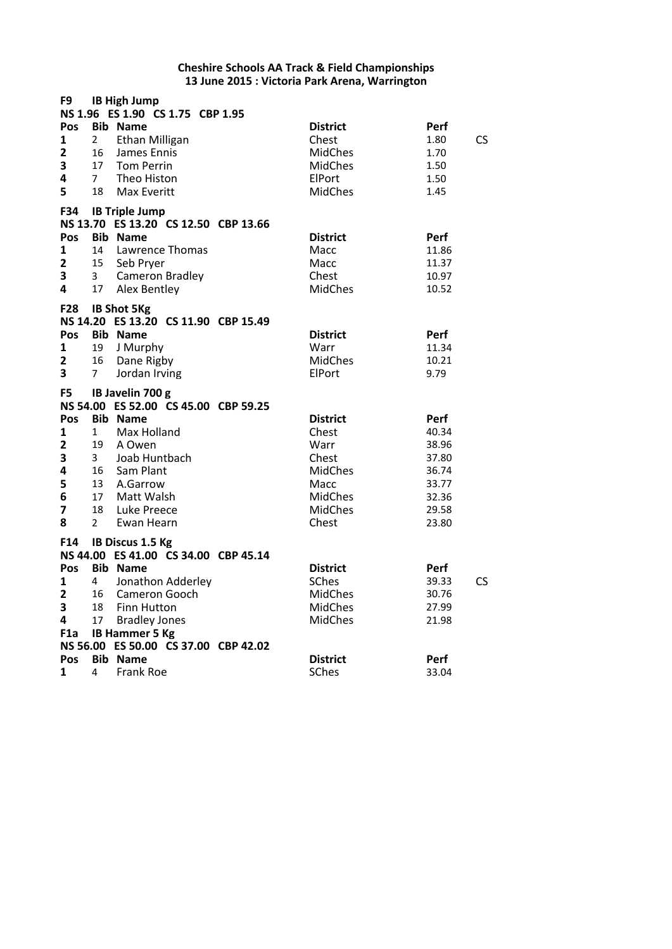| F9                                                                |                                                                          | <b>IB High Jump</b><br>NS 1.96 ES 1.90 CS 1.75 CBP 1.95                                                                                                                              |                                                                                                                  |                                                                              |
|-------------------------------------------------------------------|--------------------------------------------------------------------------|--------------------------------------------------------------------------------------------------------------------------------------------------------------------------------------|------------------------------------------------------------------------------------------------------------------|------------------------------------------------------------------------------|
| Pos<br>$\mathbf{1}$<br>$\overline{\mathbf{2}}$<br>3<br>4<br>5     | 2<br>16<br>17<br>7 <sup>7</sup><br>18                                    | <b>Bib Name</b><br><b>Ethan Milligan</b><br>James Ennis<br><b>Tom Perrin</b><br>Theo Histon<br><b>Max Everitt</b>                                                                    | <b>District</b><br>Chest<br><b>MidChes</b><br>MidChes<br>ElPort<br><b>MidChes</b>                                | Perf<br><b>CS</b><br>1.80<br>1.70<br>1.50<br>1.50<br>1.45                    |
| F34<br>Pos<br>$\mathbf{1}$<br>$\mathbf{2}$<br>3<br>4              | 14<br>15<br>$\mathbf{3}$<br>17                                           | <b>IB Triple Jump</b><br>NS 13.70 ES 13.20 CS 12.50 CBP 13.66<br><b>Bib Name</b><br>Lawrence Thomas<br>Seb Pryer<br>Cameron Bradley<br>Alex Bentley                                  | <b>District</b><br>Macc<br>Macc<br>Chest<br><b>MidChes</b>                                                       | <b>Perf</b><br>11.86<br>11.37<br>10.97<br>10.52                              |
| F28<br>Pos<br>$\mathbf{1}$<br>2<br>3                              | 19<br>16<br>7 <sup>7</sup>                                               | <b>IB Shot 5Kg</b><br>NS 14.20 ES 13.20 CS 11.90 CBP 15.49<br><b>Bib Name</b><br>J Murphy<br>Dane Rigby<br>Jordan Irving                                                             | <b>District</b><br>Warr<br><b>MidChes</b><br>ElPort                                                              | Perf<br>11.34<br>10.21<br>9.79                                               |
| F <sub>5</sub>                                                    |                                                                          | IB Javelin 700 g<br>NS 54.00 ES 52.00 CS 45.00 CBP 59.25                                                                                                                             |                                                                                                                  |                                                                              |
| Pos<br>$\mathbf{1}$<br>$\mathbf{2}$<br>3<br>4<br>5<br>6<br>7<br>8 | $1 \quad$<br>19<br>3 <sup>7</sup><br>16<br>13<br>17<br>18<br>$2^{\circ}$ | <b>Bib Name</b><br>Max Holland<br>A Owen<br>Joab Huntbach<br>Sam Plant<br>A.Garrow<br>Matt Walsh<br>Luke Preece<br>Ewan Hearn                                                        | <b>District</b><br>Chest<br>Warr<br>Chest<br><b>MidChes</b><br>Macc<br><b>MidChes</b><br><b>MidChes</b><br>Chest | Perf<br>40.34<br>38.96<br>37.80<br>36.74<br>33.77<br>32.36<br>29.58<br>23.80 |
| F14<br>Pos<br>$\mathbf{1}$<br>$\mathbf{2}$<br>3<br>4<br>F1a       | 4<br>18<br>17                                                            | IB Discus 1.5 Kg<br>NS 44.00 ES 41.00 CS 34.00 CBP 45.14<br><b>Bib Name</b><br>Jonathon Adderley<br>16 Cameron Gooch<br>Finn Hutton<br><b>Bradley Jones</b><br><b>IB Hammer 5 Kg</b> | <b>District</b><br><b>SChes</b><br>MidChes<br>MidChes<br><b>MidChes</b>                                          | <b>Perf</b><br>39.33<br><b>CS</b><br>30.76<br>27.99<br>21.98                 |
| Pos<br>$\mathbf{1}$                                               | 4                                                                        | NS 56.00 ES 50.00 CS 37.00 CBP 42.02<br><b>Bib Name</b><br><b>Frank Roe</b>                                                                                                          | <b>District</b><br>SChes                                                                                         | Perf<br>33.04                                                                |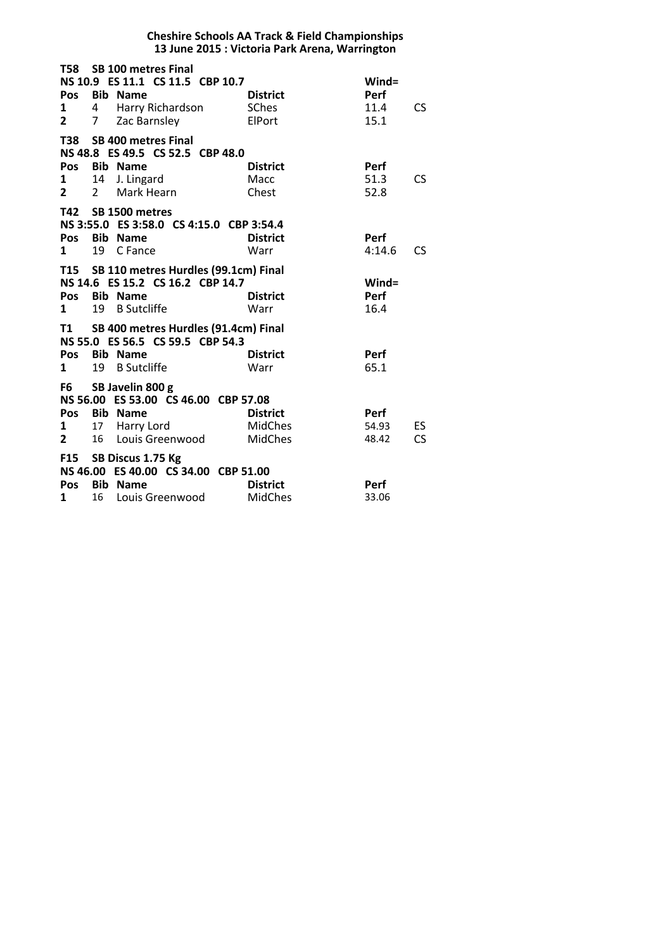|                                        |                |                                                                                                                    | <b>Cheshire Schools AA Track &amp; Field Championships</b><br>13 June 2015 : Victoria Park Arena, Warrington |                               |                  |
|----------------------------------------|----------------|--------------------------------------------------------------------------------------------------------------------|--------------------------------------------------------------------------------------------------------------|-------------------------------|------------------|
| 1<br>$\overline{2}$                    | 7 <sup>7</sup> | T58 SB 100 metres Final<br>NS 10.9 ES 11.1 CS 11.5 CBP 10.7<br>Pos Bib Name<br>4 Harry Richardson<br>Zac Barnsley  | <b>District</b><br><b>SChes</b><br>ElPort                                                                    | Wind=<br>Perf<br>11.4<br>15.1 | <b>CS</b>        |
| T38<br><b>Pos</b><br>1<br>$\mathbf{2}$ | $2^{\circ}$    | <b>SB 400 metres Final</b><br>NS 48.8 ES 49.5 CS 52.5 CBP 48.0<br>Bib Name<br>14 J. Lingard<br>Mark Hearn          | <b>District</b><br>Macc<br>Chest                                                                             | Perf<br>51.3<br>52.8          | CS.              |
| $\mathbf{1}$                           | 19             | T42 SB 1500 metres<br>NS 3:55.0 ES 3:58.0 CS 4:15.0 CBP 3:54.4<br>Pos Bib Name<br>C Fance                          | <b>District</b><br>Warr                                                                                      | <b>Perf</b><br>4:14.6         | <b>CS</b>        |
| 1                                      | 19             | T15 SB 110 metres Hurdles (99.1cm) Final<br>NS 14.6 ES 15.2 CS 16.2 CBP 14.7<br>Pos Bib Name<br><b>B</b> Sutcliffe | <b>District</b><br>Warr                                                                                      | Wind=<br>Perf<br>16.4         |                  |
| T1<br>Pos<br>1                         | 19             | SB 400 metres Hurdles (91.4cm) Final<br>NS 55.0 ES 56.5 CS 59.5 CBP 54.3<br><b>Bib Name</b><br><b>B</b> Sutcliffe  | <b>District</b><br>Warr                                                                                      | <b>Perf</b><br>65.1           |                  |
| F6<br>Pos<br>1<br>$\overline{2}$       | 16             | SB Javelin 800 g<br>NS 56.00 ES 53.00 CS 46.00 CBP 57.08<br><b>Bib Name</b><br>17 Harry Lord<br>Louis Greenwood    | <b>District</b><br><b>MidChes</b><br><b>MidChes</b>                                                          | Perf<br>54.93<br>48.42        | ES.<br><b>CS</b> |
| <b>F15</b><br>Pos<br>$\mathbf{1}$      | 16             | SB Discus 1.75 Kg<br>NS 46.00 ES 40.00 CS 34.00 CBP 51.00<br><b>Bib Name</b><br>Louis Greenwood                    | <b>District</b><br><b>MidChes</b>                                                                            | Perf<br>33.06                 |                  |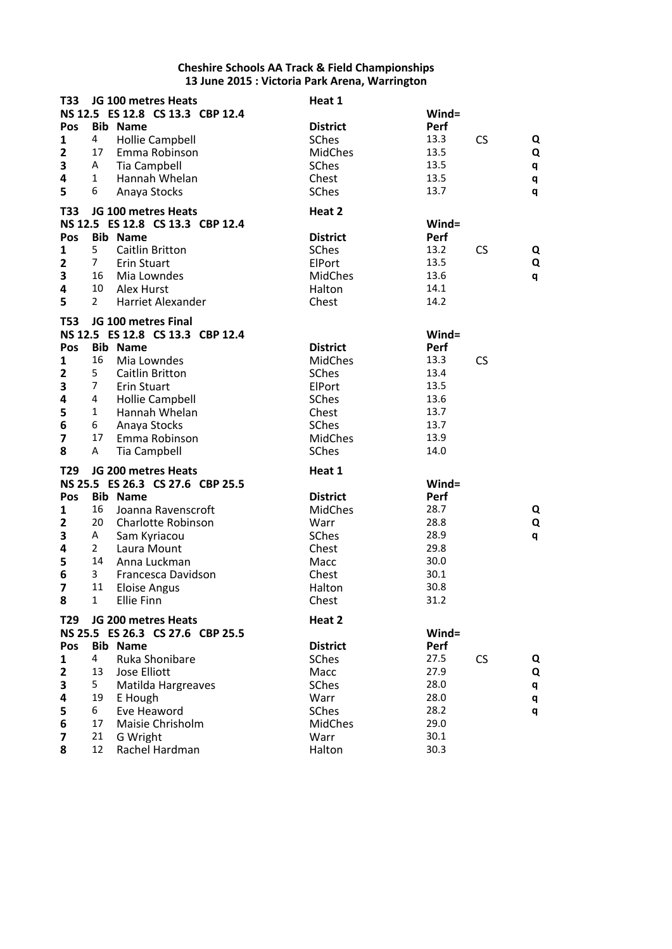| T33                     |                     | JG 100 metres Heats                                     | Heat 1          |              |           |   |
|-------------------------|---------------------|---------------------------------------------------------|-----------------|--------------|-----------|---|
|                         |                     | NS 12.5 ES 12.8 CS 13.3 CBP 12.4                        |                 | Wind=        |           |   |
| Pos                     |                     | <b>Bib Name</b>                                         | <b>District</b> | Perf         |           |   |
| $\mathbf{1}$            | 4                   | <b>Hollie Campbell</b>                                  | SChes           | 13.3         | <b>CS</b> | Q |
| $\overline{2}$          | 17                  | Emma Robinson                                           | <b>MidChes</b>  | 13.5         |           | Q |
| 3                       | A                   | <b>Tia Campbell</b>                                     | SChes           | 13.5         |           | q |
| 4                       | 1                   | Hannah Whelan                                           | Chest           | 13.5         |           | q |
| 5                       | 6                   | Anaya Stocks                                            | SChes           | 13.7         |           | q |
| T33                     |                     | JG 100 metres Heats                                     | Heat 2          |              |           |   |
|                         |                     | NS 12.5 ES 12.8 CS 13.3 CBP 12.4                        |                 | $Wind =$     |           |   |
| Pos                     |                     | <b>Bib Name</b>                                         | <b>District</b> | Perf         |           |   |
| $\mathbf 1$             | 5                   | Caitlin Britton                                         | SChes           | 13.2         | CS        | Q |
| $\mathbf{2}$            | 7 <sup>1</sup>      | Erin Stuart                                             | ElPort          | 13.5         |           | Q |
| 3                       | 16                  | Mia Lowndes                                             | <b>MidChes</b>  | 13.6         |           | q |
| 4                       | 10                  | Alex Hurst                                              | Halton          | 14.1         |           |   |
| 5                       | $\mathbf{2}$        | <b>Harriet Alexander</b>                                | Chest           | 14.2         |           |   |
|                         |                     |                                                         |                 |              |           |   |
| <b>T53</b>              |                     | JG 100 metres Final<br>NS 12.5 ES 12.8 CS 13.3 CBP 12.4 |                 | Wind=        |           |   |
| Pos                     |                     | <b>Bib Name</b>                                         | <b>District</b> | Perf         |           |   |
| 1                       | 16                  | Mia Lowndes                                             | <b>MidChes</b>  | 13.3         |           |   |
| $\overline{2}$          | 5                   | <b>Caitlin Britton</b>                                  | SChes           | 13.4         | CS        |   |
| 3                       | $\overline{7}$      | <b>Erin Stuart</b>                                      | ElPort          | 13.5         |           |   |
| 4                       | 4                   | <b>Hollie Campbell</b>                                  | SChes           | 13.6         |           |   |
| 5                       | $\mathbf{1}$        | Hannah Whelan                                           | Chest           | 13.7         |           |   |
| 6                       | 6                   | Anaya Stocks                                            | SChes           | 13.7         |           |   |
| $\overline{\mathbf{z}}$ | 17                  | Emma Robinson                                           | <b>MidChes</b>  | 13.9         |           |   |
| 8                       | Α                   | <b>Tia Campbell</b>                                     | SChes           | 14.0         |           |   |
|                         |                     |                                                         |                 |              |           |   |
| T <sub>29</sub>         |                     | JG 200 metres Heats                                     | Heat 1          |              |           |   |
|                         |                     | NS 25.5 ES 26.3 CS 27.6 CBP 25.5                        |                 | Wind=        |           |   |
| Pos                     |                     | <b>Bib Name</b>                                         | <b>District</b> | Perf         |           |   |
| 1                       | 16                  | Joanna Ravenscroft                                      | <b>MidChes</b>  | 28.7         |           | Q |
| $\overline{\mathbf{2}}$ | 20                  | Charlotte Robinson                                      | Warr            | 28.8<br>28.9 |           | Q |
| 3                       | A<br>$\overline{2}$ | Sam Kyriacou                                            | SChes           | 29.8         |           | q |
| 4<br>5                  | 14                  | Laura Mount<br>Anna Luckman                             | Chest<br>Macc   | 30.0         |           |   |
| 6                       | 3                   | Francesca Davidson                                      | Chest           | 30.1         |           |   |
| 7                       | 11                  | <b>Eloise Angus</b>                                     | Halton          | 30.8         |           |   |
| 8                       | $\mathbf{1}$        | Ellie Finn                                              | Chest           | 31.2         |           |   |
|                         |                     |                                                         |                 |              |           |   |
| T29                     |                     | JG 200 metres Heats                                     | Heat 2          |              |           |   |
|                         |                     | NS 25.5 ES 26.3 CS 27.6 CBP 25.5                        |                 | Wind=        |           |   |
| Pos                     |                     | <b>Bib Name</b>                                         | <b>District</b> | Perf         |           |   |
| 1                       | 4                   | Ruka Shonibare                                          | SChes           | 27.5         | <b>CS</b> | Q |
| $\overline{\mathbf{2}}$ | 13                  | <b>Jose Elliott</b>                                     | Macc            | 27.9         |           | Q |
| 3                       | 5                   | Matilda Hargreaves                                      | SChes           | 28.0         |           | q |
| 4                       | 19                  | E Hough                                                 | Warr            | 28.0         |           | q |
| 5                       | 6                   | Eve Heaword                                             | SChes           | 28.2         |           | q |
| 6                       | 17                  | Maisie Chrisholm                                        | <b>MidChes</b>  | 29.0         |           |   |
| 7                       | 21                  | G Wright                                                | Warr            | 30.1         |           |   |
| 8                       | 12                  | Rachel Hardman                                          | Halton          | 30.3         |           |   |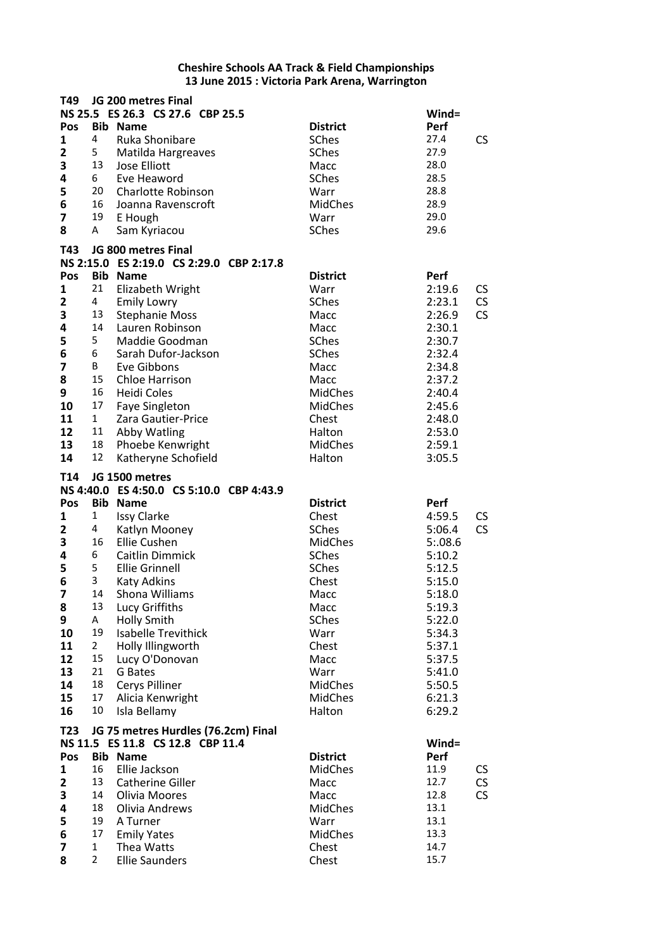| T49                     |                | JG 200 metres Final                       |                       |                  |           |
|-------------------------|----------------|-------------------------------------------|-----------------------|------------------|-----------|
|                         |                | NS 25.5 ES 26.3 CS 27.6 CBP 25.5          |                       | $Wind =$         |           |
| Pos<br>$\mathbf{1}$     | 4              | <b>Bib Name</b>                           | <b>District</b>       | Perf<br>27.4     |           |
|                         |                | Ruka Shonibare                            | <b>SChes</b><br>SChes | 27.9             | <b>CS</b> |
| $\mathbf{2}$<br>3       | 5<br>13        | Matilda Hargreaves<br><b>Jose Elliott</b> |                       | 28.0             |           |
| 4                       | 6              | Eve Heaword                               | Macc<br><b>SChes</b>  | 28.5             |           |
| 5                       | 20             | <b>Charlotte Robinson</b>                 | Warr                  | 28.8             |           |
| 6                       | 16             | Joanna Ravenscroft                        | MidChes               | 28.9             |           |
| 7                       | 19             | E Hough                                   | Warr                  | 29.0             |           |
| 8                       | A              | Sam Kyriacou                              | SChes                 | 29.6             |           |
|                         |                | JG 800 metres Final                       |                       |                  |           |
| T43                     |                | NS 2:15.0 ES 2:19.0 CS 2:29.0 CBP 2:17.8  |                       |                  |           |
| Pos                     |                | <b>Bib Name</b>                           | <b>District</b>       | Perf             |           |
| 1                       | 21             | Elizabeth Wright                          | Warr                  | 2:19.6           | CS        |
| $\overline{\mathbf{2}}$ | 4              | <b>Emily Lowry</b>                        | <b>SChes</b>          | 2:23.1           | CS        |
| 3                       | 13             | <b>Stephanie Moss</b>                     | Macc                  | 2:26.9           | <b>CS</b> |
| 4                       | 14             | Lauren Robinson                           | Macc                  | 2:30.1           |           |
| 5                       | 5              | Maddie Goodman                            | SChes                 | 2:30.7           |           |
| 6                       | 6              | Sarah Dufor-Jackson                       | <b>SChes</b>          | 2:32.4           |           |
| 7                       | B              | Eve Gibbons                               | Macc                  | 2:34.8           |           |
| 8                       | 15             | <b>Chloe Harrison</b>                     | Macc                  | 2:37.2           |           |
| 9                       | 16             | <b>Heidi Coles</b>                        | <b>MidChes</b>        | 2:40.4           |           |
| 10                      | 17             | <b>Faye Singleton</b>                     | <b>MidChes</b>        | 2:45.6           |           |
| 11                      | $\mathbf{1}$   | Zara Gautier-Price                        | Chest                 | 2:48.0           |           |
| 12                      | 11             | Abby Watling                              | Halton                | 2:53.0           |           |
| 13                      | 18             | Phoebe Kenwright                          | <b>MidChes</b>        | 2:59.1           |           |
| 14                      | 12             | Katheryne Schofield                       | Halton                | 3:05.5           |           |
| T14                     |                | JG 1500 metres                            |                       |                  |           |
|                         |                | NS 4:40.0 ES 4:50.0 CS 5:10.0 CBP 4:43.9  |                       |                  |           |
| Pos                     |                | <b>Bib Name</b>                           | <b>District</b>       | Perf             |           |
| 1                       | 1              | <b>Issy Clarke</b>                        | Chest                 | 4:59.5           | CS        |
| $\mathbf{2}$            | 4              | Katlyn Mooney                             | SChes                 | 5:06.4           | CS        |
| 3                       | 16             | Ellie Cushen                              | <b>MidChes</b>        | 5:08.6           |           |
| 4                       | 6              | Caitlin Dimmick                           | <b>SChes</b>          | 5:10.2           |           |
| 5<br>6                  | 5<br>3         | <b>Ellie Grinnell</b>                     | SChes                 | 5:12.5           |           |
| $\overline{\mathbf{z}}$ | 14             | Katy Adkins                               | Chest                 | 5:15.0           |           |
|                         | 13             | Shona Williams<br>Lucy Griffiths          | Macc<br>Macc          | 5:18.0           |           |
| 8<br>9                  | A              | <b>Holly Smith</b>                        | SChes                 | 5:19.3<br>5:22.0 |           |
| 10                      | 19             | <b>Isabelle Trevithick</b>                | Warr                  | 5:34.3           |           |
| 11                      | $\mathbf{2}$   | Holly Illingworth                         | Chest                 | 5:37.1           |           |
| 12                      | 15             | Lucy O'Donovan                            | Macc                  | 5:37.5           |           |
| 13                      | 21             | G Bates                                   | Warr                  | 5:41.0           |           |
| 14                      | 18             | Cerys Pilliner                            | <b>MidChes</b>        | 5:50.5           |           |
| 15                      | 17             | Alicia Kenwright                          | <b>MidChes</b>        | 6:21.3           |           |
| 16                      | 10             | Isla Bellamy                              | Halton                | 6:29.2           |           |
| T23                     |                | JG 75 metres Hurdles (76.2cm) Final       |                       |                  |           |
|                         |                | NS 11.5 ES 11.8 CS 12.8 CBP 11.4          |                       | Wind=            |           |
| Pos                     |                | <b>Bib Name</b>                           | <b>District</b>       | Perf             |           |
| 1                       | 16             | Ellie Jackson                             | <b>MidChes</b>        | 11.9             | CS        |
| $\mathbf{2}$            | 13             | <b>Catherine Giller</b>                   | Macc                  | 12.7             | CS        |
| 3                       | 14             | Olivia Moores                             | Macc                  | 12.8             | CS        |
| 4                       | 18             | Olivia Andrews                            | <b>MidChes</b>        | 13.1             |           |
| 5                       | 19             | A Turner                                  | Warr                  | 13.1             |           |
| 6                       | 17             | <b>Emily Yates</b>                        | MidChes               | 13.3             |           |
| 7                       | 1              | Thea Watts                                | Chest                 | 14.7             |           |
| 8                       | $\overline{2}$ | <b>Ellie Saunders</b>                     | Chest                 | 15.7             |           |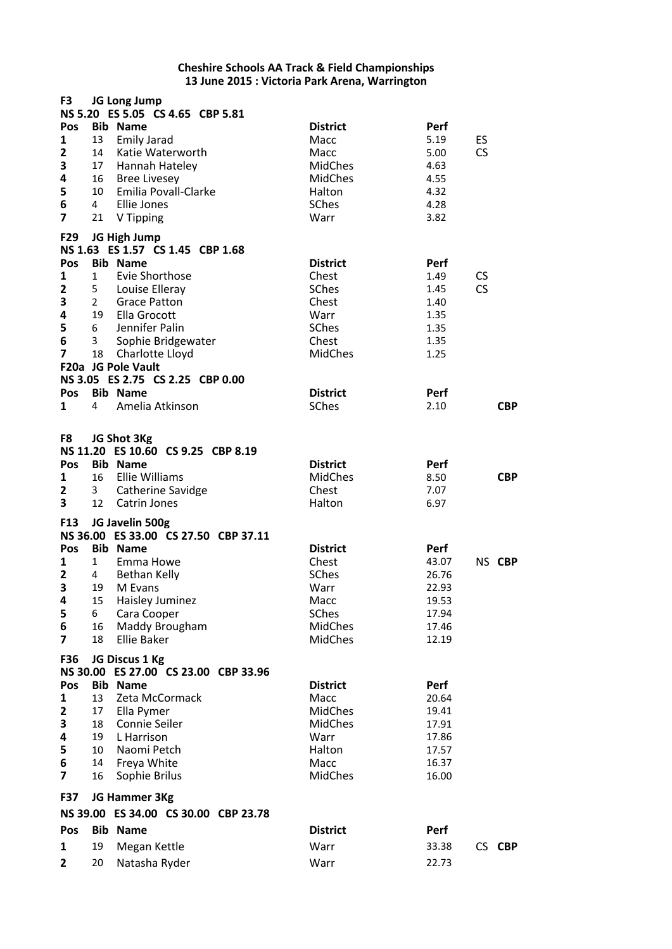| F3                                                |                                        | JG Long Jump<br>NS 5.20 ES 5.05 CS 4.65 CBP 5.81                                                                                                             |                                                                                                |                                                              |                                |            |
|---------------------------------------------------|----------------------------------------|--------------------------------------------------------------------------------------------------------------------------------------------------------------|------------------------------------------------------------------------------------------------|--------------------------------------------------------------|--------------------------------|------------|
| Pos<br>1<br>$\mathbf{2}$<br>3<br>4<br>5<br>6<br>7 | 13<br>14<br>16<br>$\overline{4}$<br>21 | <b>Bib Name</b><br><b>Emily Jarad</b><br>Katie Waterworth<br>17 Hannah Hateley<br><b>Bree Livesey</b><br>10 Emilia Povall-Clarke<br>Ellie Jones<br>V Tipping | <b>District</b><br>Macc<br>Macc<br><b>MidChes</b><br><b>MidChes</b><br>Halton<br>SChes<br>Warr | Perf<br>5.19<br>5.00<br>4.63<br>4.55<br>4.32<br>4.28<br>3.82 | ES<br>$\mathsf{CS}\phantom{0}$ |            |
| F <sub>29</sub>                                   |                                        | JG High Jump<br>NS 1.63 ES 1.57 CS 1.45 CBP 1.68                                                                                                             |                                                                                                |                                                              |                                |            |
| Pos                                               |                                        | <b>Bib Name</b>                                                                                                                                              | <b>District</b>                                                                                | Perf                                                         |                                |            |
| 1                                                 | $\mathbf{1}$                           | Evie Shorthose                                                                                                                                               | Chest                                                                                          | 1.49                                                         | <b>CS</b>                      |            |
| 2                                                 | 5                                      | Louise Elleray                                                                                                                                               | SChes                                                                                          | 1.45                                                         | <b>CS</b>                      |            |
| 3                                                 | $\overline{2}$                         | <b>Grace Patton</b>                                                                                                                                          | Chest                                                                                          | 1.40                                                         |                                |            |
| 4                                                 |                                        | 19 Ella Grocott                                                                                                                                              | Warr                                                                                           | 1.35                                                         |                                |            |
| 5                                                 | 6                                      | Jennifer Palin                                                                                                                                               | SChes                                                                                          | 1.35                                                         |                                |            |
| 6<br>$\overline{\mathbf{z}}$                      | 3 <sup>7</sup>                         | Sophie Bridgewater                                                                                                                                           | Chest                                                                                          | 1.35                                                         |                                |            |
|                                                   |                                        | 18 Charlotte Lloyd<br>F20a JG Pole Vault                                                                                                                     | <b>MidChes</b>                                                                                 | 1.25                                                         |                                |            |
|                                                   |                                        | NS 3.05 ES 2.75 CS 2.25 CBP 0.00                                                                                                                             |                                                                                                |                                                              |                                |            |
| <b>Pos</b>                                        |                                        | <b>Bib Name</b>                                                                                                                                              | <b>District</b>                                                                                | Perf                                                         |                                |            |
| 1                                                 | 4                                      | Amelia Atkinson                                                                                                                                              | <b>SChes</b>                                                                                   | 2.10                                                         |                                | <b>CBP</b> |
| F8<br>Pos<br>1                                    | 16                                     | JG Shot 3Kg<br>NS 11.20 ES 10.60 CS 9.25 CBP 8.19<br><b>Bib Name</b><br>Ellie Williams                                                                       | <b>District</b><br>MidChes                                                                     | Perf<br>8.50                                                 |                                | <b>CBP</b> |
| 2                                                 | $\mathbf{3}$                           | Catherine Savidge                                                                                                                                            | Chest                                                                                          | 7.07                                                         |                                |            |
| 3                                                 | 12                                     | Catrin Jones                                                                                                                                                 | Halton                                                                                         | 6.97                                                         |                                |            |
| F13                                               |                                        | JG Javelin 500g<br>NS 36.00 ES 33.00 CS 27.50 CBP 37.11                                                                                                      |                                                                                                |                                                              |                                |            |
| Pos                                               |                                        | <b>Bib Name</b>                                                                                                                                              | <b>District</b>                                                                                | Perf                                                         |                                |            |
| 1                                                 | $\mathbf{1}$                           | Emma Howe                                                                                                                                                    | Chest                                                                                          | 43.07                                                        |                                | NS CBP     |
| $\mathbf{2}$                                      | 4                                      | <b>Bethan Kelly</b>                                                                                                                                          | SChes                                                                                          | 26.76                                                        |                                |            |
| 3                                                 | 19                                     | M Evans                                                                                                                                                      | Warr                                                                                           | 22.93                                                        |                                |            |
| 4                                                 | 15                                     | Haisley Juminez                                                                                                                                              | Macc                                                                                           | 19.53                                                        |                                |            |
| 5                                                 | 6                                      | Cara Cooper                                                                                                                                                  | SChes                                                                                          | 17.94                                                        |                                |            |
| 6<br>7                                            | 16<br>18                               | Maddy Brougham<br><b>Ellie Baker</b>                                                                                                                         | <b>MidChes</b><br><b>MidChes</b>                                                               | 17.46<br>12.19                                               |                                |            |
| F36                                               |                                        | JG Discus 1 Kg                                                                                                                                               |                                                                                                |                                                              |                                |            |
|                                                   |                                        | NS 30.00 ES 27.00 CS 23.00 CBP 33.96                                                                                                                         |                                                                                                |                                                              |                                |            |
| Pos                                               |                                        | <b>Bib Name</b>                                                                                                                                              | <b>District</b>                                                                                | Perf                                                         |                                |            |
| 1                                                 | 13                                     | Zeta McCormack                                                                                                                                               | Macc                                                                                           | 20.64                                                        |                                |            |
| 2                                                 | 17                                     | Ella Pymer                                                                                                                                                   | <b>MidChes</b>                                                                                 | 19.41                                                        |                                |            |
| 3                                                 | 18                                     | Connie Seiler                                                                                                                                                | <b>MidChes</b>                                                                                 | 17.91                                                        |                                |            |
| 4                                                 | 19                                     | L Harrison                                                                                                                                                   | Warr                                                                                           | 17.86                                                        |                                |            |
| 5                                                 | 10                                     | Naomi Petch                                                                                                                                                  | Halton                                                                                         | 17.57                                                        |                                |            |
| 6<br>7                                            | 14<br>16                               | Freya White<br>Sophie Brilus                                                                                                                                 | Macc<br><b>MidChes</b>                                                                         | 16.37<br>16.00                                               |                                |            |
| <b>F37</b>                                        |                                        | JG Hammer 3Kg                                                                                                                                                |                                                                                                |                                                              |                                |            |
|                                                   |                                        | NS 39.00 ES 34.00 CS 30.00 CBP 23.78                                                                                                                         |                                                                                                |                                                              |                                |            |
| Pos                                               |                                        | <b>Bib Name</b>                                                                                                                                              | <b>District</b>                                                                                | Perf                                                         |                                |            |
| 1                                                 | 19                                     | Megan Kettle                                                                                                                                                 | Warr                                                                                           | 33.38                                                        |                                | CS CBP     |
| 2                                                 | 20                                     | Natasha Ryder                                                                                                                                                | Warr                                                                                           | 22.73                                                        |                                |            |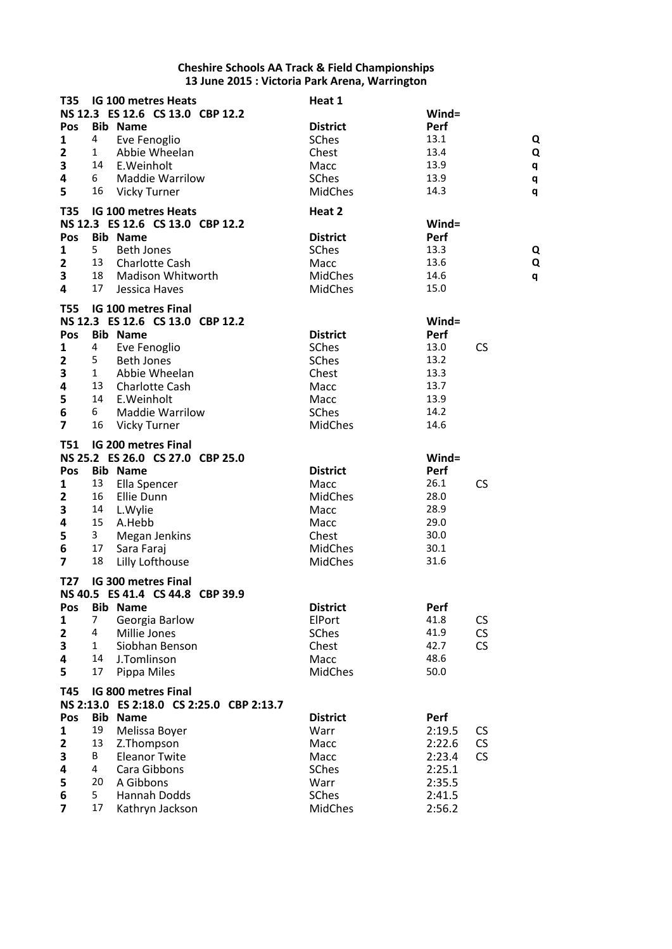| <b>T35</b>              |              | IG 100 metres Heats                      | Heat 1          |          |           |
|-------------------------|--------------|------------------------------------------|-----------------|----------|-----------|
|                         |              | NS 12.3 ES 12.6 CS 13.0 CBP 12.2         |                 | $Wind =$ |           |
| <b>Pos</b>              |              | <b>Bib Name</b>                          | <b>District</b> | Perf     |           |
| 1                       | 4            | Eve Fenoglio                             | SChes           | 13.1     | Q         |
| $\mathbf{2}$            | 1            | Abbie Wheelan                            | Chest           | 13.4     | Q         |
| 3                       | 14           | E.Weinholt                               | Macc            | 13.9     | q         |
| 4                       | 6            | <b>Maddie Warrilow</b>                   | SChes           | 13.9     | q         |
| 5                       | 16           | Vicky Turner                             | <b>MidChes</b>  | 14.3     | q         |
| <b>T35</b>              |              | <b>IG 100 metres Heats</b>               | Heat 2          |          |           |
|                         |              | NS 12.3 ES 12.6 CS 13.0 CBP 12.2         |                 | $Wind =$ |           |
| Pos                     |              | <b>Bib Name</b>                          | <b>District</b> | Perf     |           |
| 1                       | 5            | <b>Beth Jones</b>                        | SChes           | 13.3     | Q         |
| $\overline{\mathbf{2}}$ | 13           | <b>Charlotte Cash</b>                    | Macc            | 13.6     | Q         |
| 3                       | 18           |                                          |                 | 14.6     |           |
| 4                       | 17           | Madison Whitworth                        | <b>MidChes</b>  | 15.0     | q         |
|                         |              | Jessica Haves                            | <b>MidChes</b>  |          |           |
| <b>T55</b>              |              | <b>IG 100 metres Final</b>               |                 |          |           |
|                         |              | NS 12.3 ES 12.6 CS 13.0 CBP 12.2         |                 | $Wind =$ |           |
| Pos                     |              | <b>Bib Name</b>                          | <b>District</b> | Perf     |           |
| 1                       | 4            | Eve Fenoglio                             | SChes           | 13.0     | <b>CS</b> |
| $\overline{2}$          | 5            | <b>Beth Jones</b>                        | SChes           | 13.2     |           |
| 3                       | $\mathbf{1}$ | Abbie Wheelan                            | Chest           | 13.3     |           |
| 4                       | 13           | <b>Charlotte Cash</b>                    | Macc            | 13.7     |           |
| 5                       | 14           | E.Weinholt                               | Macc            | 13.9     |           |
| 6                       | 6            | <b>Maddie Warrilow</b>                   | SChes           | 14.2     |           |
| $\overline{7}$          | 16           | Vicky Turner                             | MidChes         | 14.6     |           |
|                         |              |                                          |                 |          |           |
| <b>T51</b>              |              | <b>IG 200 metres Final</b>               |                 |          |           |
|                         |              | NS 25.2 ES 26.0 CS 27.0 CBP 25.0         |                 | $Wind =$ |           |
| Pos                     |              | <b>Bib Name</b>                          | <b>District</b> | Perf     |           |
| 1                       | 13           | Ella Spencer                             | Macc            | 26.1     | <b>CS</b> |
| 2                       | 16           | Ellie Dunn                               | <b>MidChes</b>  | 28.0     |           |
| 3                       | 14           | L.Wylie                                  | Macc            | 28.9     |           |
| 4                       | 15           | A.Hebb                                   | Macc            | 29.0     |           |
| 5                       | 3            | <b>Megan Jenkins</b>                     | Chest           | 30.0     |           |
| 6                       | 17           | Sara Faraj                               | <b>MidChes</b>  | 30.1     |           |
| $\overline{\mathbf{z}}$ | 18           | Lilly Lofthouse                          | <b>MidChes</b>  | 31.6     |           |
| T27                     |              | <b>IG 300 metres Final</b>               |                 |          |           |
|                         |              | NS 40.5 ES 41.4 CS 44.8 CBP 39.9         |                 |          |           |
| Pos                     |              | <b>Bib Name</b>                          | <b>District</b> | Perf     |           |
| 1                       | 7            | Georgia Barlow                           | ElPort          | 41.8     | <b>CS</b> |
| $\mathbf{2}$            | 4            | Millie Jones                             | SChes           | 41.9     | CS        |
| 3                       | $\mathbf{1}$ | Siobhan Benson                           | Chest           | 42.7     | <b>CS</b> |
| 4                       | 14           | J.Tomlinson                              | Macc            | 48.6     |           |
| 5                       | 17           | Pippa Miles                              | <b>MidChes</b>  | 50.0     |           |
|                         |              |                                          |                 |          |           |
| T45                     |              | IG 800 metres Final                      |                 |          |           |
|                         |              | NS 2:13.0 ES 2:18.0 CS 2:25.0 CBP 2:13.7 |                 |          |           |
| Pos                     |              | <b>Bib Name</b>                          | <b>District</b> | Perf     |           |
| 1                       | 19           | Melissa Bover                            | Warr            | 2:19.5   | <b>CS</b> |
| $\mathbf{2}$            | 13           | Z.Thompson                               | Macc            | 2:22.6   | CS        |
| 3                       | B            | <b>Eleanor Twite</b>                     | Macc            | 2:23.4   | <b>CS</b> |
| 4                       | 4            | Cara Gibbons                             | SChes           | 2:25.1   |           |
| 5                       | 20           | A Gibbons                                | Warr            | 2:35.5   |           |
| 6                       | 5            | Hannah Dodds                             | SChes           | 2:41.5   |           |
| $\overline{7}$          | 17           | Kathryn Jackson                          | MidChes         | 2:56.2   |           |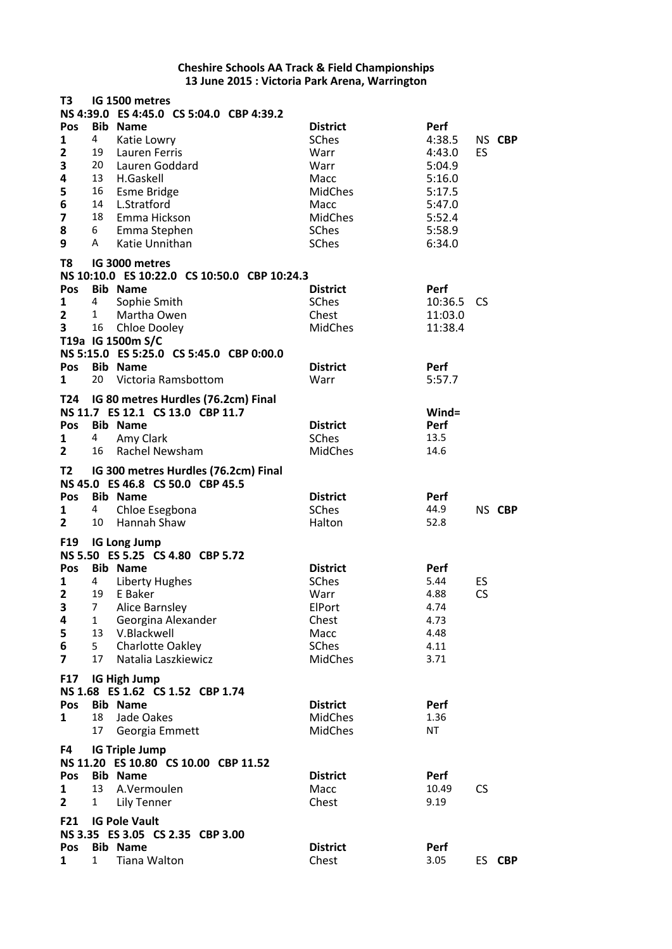| T <sub>3</sub>          |              | IG 1500 metres                               |                 |          |           |        |
|-------------------------|--------------|----------------------------------------------|-----------------|----------|-----------|--------|
|                         |              | NS 4:39.0 ES 4:45.0 CS 5:04.0 CBP 4:39.2     |                 |          |           |        |
| Pos                     |              | <b>Bib Name</b>                              | <b>District</b> | Perf     |           |        |
| $\mathbf{1}$            | 4            | Katie Lowry                                  | SChes           | 4:38.5   |           | NS CBP |
| $\mathbf{2}$            |              | 19 Lauren Ferris                             | Warr            | 4:43.0   | ES        |        |
| 3                       |              | 20 Lauren Goddard                            | Warr            | 5:04.9   |           |        |
| 4                       | 13           | H.Gaskell                                    | Macc            | 5:16.0   |           |        |
| 5                       |              | 16 Esme Bridge                               | <b>MidChes</b>  | 5:17.5   |           |        |
| 6                       | 14           | L.Stratford                                  | Macc            | 5:47.0   |           |        |
| $\overline{\mathbf{z}}$ | 18           | Emma Hickson                                 | <b>MidChes</b>  | 5:52.4   |           |        |
| 8                       | 6            | Emma Stephen                                 | SChes           | 5:58.9   |           |        |
| 9                       | A            | Katie Unnithan                               | <b>SChes</b>    | 6:34.0   |           |        |
|                         |              |                                              |                 |          |           |        |
| T8                      |              | IG 3000 metres                               |                 |          |           |        |
|                         |              | NS 10:10.0 ES 10:22.0 CS 10:50.0 CBP 10:24.3 |                 |          |           |        |
| Pos                     |              | <b>Bib Name</b>                              | <b>District</b> | Perf     |           |        |
| $\mathbf{1}$            | 4            | Sophie Smith                                 | SChes           | 10:36.5  | <b>CS</b> |        |
| $\mathbf{2}$            | 1            | Martha Owen                                  | Chest           | 11:03.0  |           |        |
| 3                       | 16           | Chloe Dooley                                 | <b>MidChes</b>  | 11:38.4  |           |        |
|                         |              | T19a IG 1500m S/C                            |                 |          |           |        |
|                         |              | NS 5:15.0 ES 5:25.0 CS 5:45.0 CBP 0:00.0     |                 |          |           |        |
| Pos                     |              | <b>Bib Name</b>                              | <b>District</b> | Perf     |           |        |
| 1                       | 20           |                                              | Warr            |          |           |        |
|                         |              | Victoria Ramsbottom                          |                 | 5:57.7   |           |        |
|                         |              | T24 IG 80 metres Hurdles (76.2cm) Final      |                 |          |           |        |
|                         |              | NS 11.7 ES 12.1 CS 13.0 CBP 11.7             |                 | $Wind =$ |           |        |
| Pos                     |              | <b>Bib Name</b>                              | <b>District</b> | Perf     |           |        |
| 1                       | 4            | Amy Clark                                    | <b>SChes</b>    | 13.5     |           |        |
| $\overline{2}$          | 16           | Rachel Newsham                               | <b>MidChes</b>  | 14.6     |           |        |
|                         |              |                                              |                 |          |           |        |
| T <sub>2</sub>          |              | IG 300 metres Hurdles (76.2cm) Final         |                 |          |           |        |
|                         |              | NS 45.0 ES 46.8 CS 50.0 CBP 45.5             |                 |          |           |        |
| Pos                     |              | <b>Bib Name</b>                              | <b>District</b> | Perf     |           |        |
| 1                       | 4            | Chloe Esegbona                               | SChes           | 44.9     |           | NS CBP |
| $\overline{2}$          | 10           | Hannah Shaw                                  | Halton          | 52.8     |           |        |
|                         |              |                                              |                 |          |           |        |
| F19                     |              | <b>IG Long Jump</b>                          |                 |          |           |        |
|                         |              | NS 5.50 ES 5.25 CS 4.80 CBP 5.72             |                 |          |           |        |
| Pos                     |              | <b>Bib Name</b>                              | <b>District</b> | Perf     |           |        |
| 1                       | 4            | Liberty Hughes                               | SChes           | 5.44     | ES        |        |
| $\overline{2}$          | 19           | E Baker                                      | Warr            | 4.88     | CS        |        |
| 3                       | 7            | Alice Barnsley                               | ElPort          | 4.74     |           |        |
| 4                       | $\mathbf{1}$ | Georgina Alexander                           | Chest           | 4.73     |           |        |
| 5                       | 13           | V.Blackwell                                  | Macc            | 4.48     |           |        |
| 6                       | 5            | <b>Charlotte Oakley</b>                      | SChes           | 4.11     |           |        |
| $\overline{\mathbf{z}}$ | 17           | Natalia Laszkiewicz                          | <b>MidChes</b>  | 3.71     |           |        |
|                         |              |                                              |                 |          |           |        |
| <b>F17</b>              |              | <b>IG High Jump</b>                          |                 |          |           |        |
|                         |              | NS 1.68 ES 1.62 CS 1.52 CBP 1.74             |                 |          |           |        |
| Pos                     |              | <b>Bib Name</b>                              | <b>District</b> | Perf     |           |        |
| 1                       | 18           | Jade Oakes                                   | <b>MidChes</b>  | 1.36     |           |        |
|                         | 17           | Georgia Emmett                               | <b>MidChes</b>  | ΝT       |           |        |
| F4                      |              | <b>IG Triple Jump</b>                        |                 |          |           |        |
|                         |              | NS 11.20 ES 10.80 CS 10.00 CBP 11.52         |                 |          |           |        |
|                         |              |                                              |                 |          |           |        |
| Pos                     |              | <b>Bib Name</b>                              | <b>District</b> | Perf     |           |        |
| 1                       | 13           | A.Vermoulen                                  | Macc            | 10.49    | <b>CS</b> |        |
| $\mathbf{2}$            | $\mathbf{1}$ | Lily Tenner                                  | Chest           | 9.19     |           |        |
| <b>F21</b>              |              | <b>IG Pole Vault</b>                         |                 |          |           |        |
|                         |              | NS 3.35 ES 3.05 CS 2.35 CBP 3.00             |                 |          |           |        |
| Pos                     |              | <b>Bib Name</b>                              | <b>District</b> | Perf     |           |        |
| 1                       | 1            | Tiana Walton                                 | Chest           | 3.05     |           | ES CBP |
|                         |              |                                              |                 |          |           |        |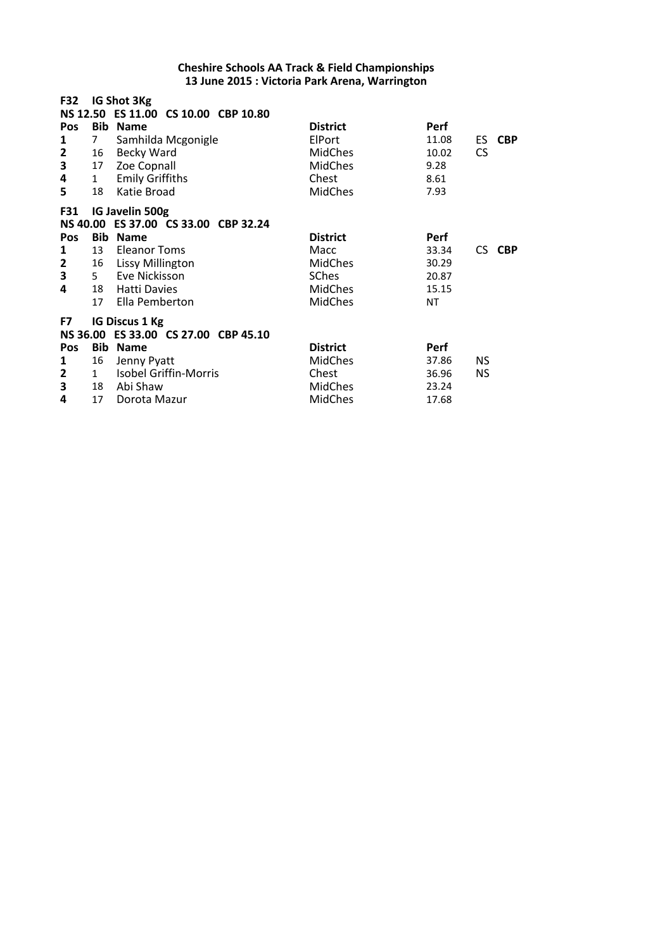| F32<br>Pos<br>1<br>2<br>3<br>4<br>5                         | $7^{\circ}$<br>16<br>17<br>1<br>18 | IG Shot 3Kg<br>NS 12.50 ES 11.00 CS 10.00 CBP 10.80<br><b>Bib Name</b><br>Samhilda Mcgonigle<br><b>Becky Ward</b><br>Zoe Copnall<br><b>Emily Griffiths</b><br>Katie Broad | <b>District</b><br>ElPort<br><b>MidChes</b><br><b>MidChes</b><br>Chest<br><b>MidChes</b>      | <b>Perf</b><br>11.08<br>10.02<br>9.28<br>8.61<br>7.93        | ES.<br><b>CS</b> | <b>CBP</b> |
|-------------------------------------------------------------|------------------------------------|---------------------------------------------------------------------------------------------------------------------------------------------------------------------------|-----------------------------------------------------------------------------------------------|--------------------------------------------------------------|------------------|------------|
| <b>F31</b><br>Pos<br>1<br>$\overline{\mathbf{2}}$<br>3<br>4 | 13<br>16<br>5<br>18<br>17          | IG Javelin 500g<br>NS 40.00 ES 37.00 CS 33.00 CBP 32.24<br><b>Bib Name</b><br>Eleanor Toms<br>Lissy Millington<br>Eve Nickisson<br><b>Hatti Davies</b><br>Ella Pemberton  | <b>District</b><br>Macc<br><b>MidChes</b><br><b>SChes</b><br><b>MidChes</b><br><b>MidChes</b> | <b>Perf</b><br>33.34<br>30.29<br>20.87<br>15.15<br><b>NT</b> | CS.              | <b>CBP</b> |
| F7<br>Pos<br>1<br>2<br>3<br>4                               | 16<br>1<br>18<br>17                | <b>IG Discus 1 Kg</b><br>NS 36.00 ES 33.00 CS 27.00 CBP 45.10<br><b>Bib Name</b><br>Jenny Pyatt<br><b>Isobel Griffin-Morris</b><br>Abi Shaw<br>Dorota Mazur               | <b>District</b><br><b>MidChes</b><br>Chest<br><b>MidChes</b><br><b>MidChes</b>                | <b>Perf</b><br>37.86<br>36.96<br>23.24<br>17.68              | NS.<br><b>NS</b> |            |